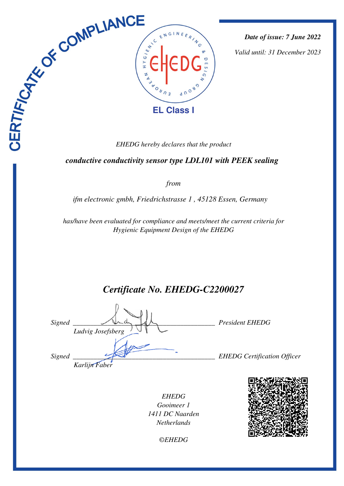

*Date of issue: 7 June 2022*

*Valid until: 31 December 2023*

 *conductive conductivity sensor type LDL101 with PEEK sealing* 

*from*

*ifm electronic gmbh, Friedrichstrasse 1 , 45128 Essen, Germany* 

*has/have been evaluated for compliance and meets/meet the current criteria for Hygienic Equipment Design of the EHEDG*

*Certificate No. EHEDG-C2200027*

| Signed | Ludvig Josefsberg | <b>President EHEDG</b>             |
|--------|-------------------|------------------------------------|
| Signed | Karlijn Faber     | <b>EHEDG</b> Certification Officer |

*EHEDG Gooimeer 1 1411 DC Naarden Netherlands*



*©EHEDG*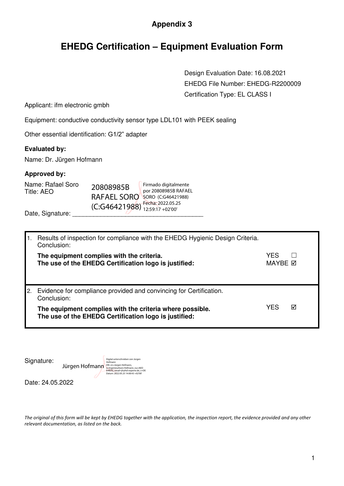### **Appendix 3**

# **EHEDG Certification – Equipment Evaluation Form**

 Design Evaluation Date: 16.08.2021 EHEDG File Number: EHEDG-R2200009 Certification Type: EL CLASS I

> YES  $\Box$ MAYBE **Ø**

Applicant: ifm electronic gmbh

Equipment: conductive conductivity sensor type LDL101 with PEEK sealing

Other essential identification: G1/2" adapter

#### **Evaluated by:**

Name: Dr. Jürgen Hofmann

#### **Approved by:**

| Name: Rafael Soro<br>Title: AEO | 20808985B                            | Firmado digitalmente<br>por 20808985B RAFAEL |
|---------------------------------|--------------------------------------|----------------------------------------------|
|                                 | RAFAEL SORO                          | SORO (C:G46421988)                           |
| Date, Signature:                | $(C:G46421988)^{TeC11a, 2022,00122}$ | Fecha: 2022.05.25                            |

| 1. | Results of inspection for compliance with the EHEDG Hygienic Design Criteria.<br>Conclusion:       |
|----|----------------------------------------------------------------------------------------------------|
|    | The equipment complies with the criteria.<br>The use of the EHEDG Certification logo is justified: |
|    | 2. Evidence for compliance provided and convincing for Certification.                              |

| The equipment complies with the criteria where possible. | <b>YFS</b> |  |
|----------------------------------------------------------|------------|--|
| The use of the EHEDG Certification logo is justified:    |            |  |

| Signature: |
|------------|
|------------|

| Digital unterschrieben von Jürgen<br>Hofmann<br>DN: cn=Jürgen Hofmann.<br>Jürgen Hofmann<br>o=Ingenieurbüro Hofmann, ou=AEO<br>EHEDG, email=ih@hd-experte.de, c=DE<br>Datum: 2022.05.25 14:00:43 +02'00' |
|----------------------------------------------------------------------------------------------------------------------------------------------------------------------------------------------------------|
|                                                                                                                                                                                                          |

Date: 24.05.2022

*The original of this form will be kept by EHEDG together with the application, the inspection report, the evidence provided and any other relevant documentation, as listed on the back.*